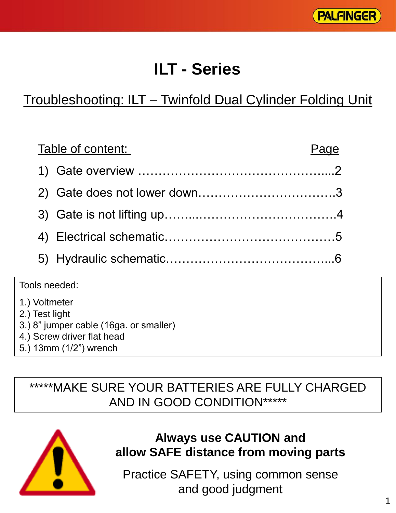

# **ILT - Series**

## Troubleshooting: ILT – Twinfold Dual Cylinder Folding Unit

| Table of content: | Page |
|-------------------|------|
|                   |      |
|                   |      |
|                   |      |
|                   |      |
|                   |      |
|                   |      |

Tools needed:

- 1.) Voltmeter
- 2.) Test light
- 3.) 8" jumper cable (16ga. or smaller)
- 4.) Screw driver flat head
- 5.) 13mm (1/2") wrench

## \*\*\*\*\*MAKE SURE YOUR BATTERIES ARE FULLY CHARGED AND IN GOOD CONDITION\*\*\*\*\*



#### **Always use CAUTION and allow SAFE distance from moving parts**

Practice SAFETY, using common sense and good judgment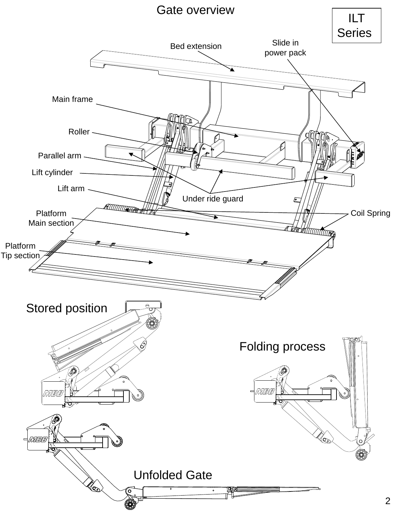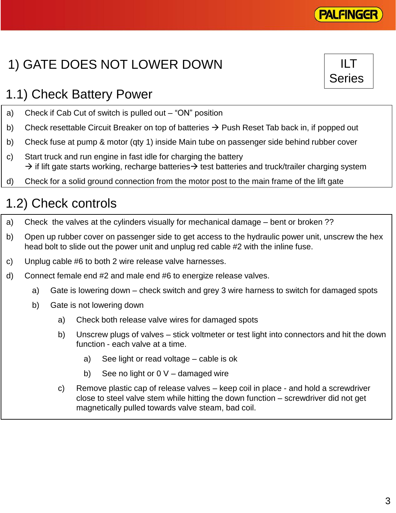

ILT

Series

# 1) GATE DOES NOT LOWER DOWN

## 1.1) Check Battery Power

- a) Check if Cab Cut of switch is pulled out "ON" position
- b) Check resettable Circuit Breaker on top of batteries  $\rightarrow$  Push Reset Tab back in, if popped out
- b) Check fuse at pump & motor (qty 1) inside Main tube on passenger side behind rubber cover
- c) Start truck and run engine in fast idle for charging the battery  $\rightarrow$  if lift gate starts working, recharge batteries  $\rightarrow$  test batteries and truck/trailer charging system
- d) Check for a solid ground connection from the motor post to the main frame of the lift gate

## 1.2) Check controls

- a) Check the valves at the cylinders visually for mechanical damage bent or broken ??
- b) Open up rubber cover on passenger side to get access to the hydraulic power unit, unscrew the hex head bolt to slide out the power unit and unplug red cable #2 with the inline fuse.
- c) Unplug cable #6 to both 2 wire release valve harnesses.
- d) Connect female end #2 and male end #6 to energize release valves.
	- a) Gate is lowering down check switch and grey 3 wire harness to switch for damaged spots
	- b) Gate is not lowering down
		- a) Check both release valve wires for damaged spots
		- b) Unscrew plugs of valves stick voltmeter or test light into connectors and hit the down function - each valve at a time.
			- a) See light or read voltage cable is ok
			- b) See no light or 0 V damaged wire
		- c) Remove plastic cap of release valves keep coil in place and hold a screwdriver close to steel valve stem while hitting the down function – screwdriver did not get magnetically pulled towards valve steam, bad coil.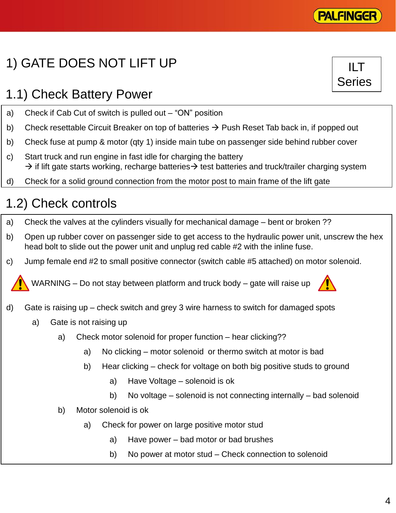# 1) GATE DOES NOT LIFT UP

## 1.1) Check Battery Power

- a) Check if Cab Cut of switch is pulled out "ON" position
- b) Check resettable Circuit Breaker on top of batteries  $\rightarrow$  Push Reset Tab back in, if popped out
- b) Check fuse at pump & motor (qty 1) inside main tube on passenger side behind rubber cover
- c) Start truck and run engine in fast idle for charging the battery  $\rightarrow$  if lift gate starts working, recharge batteries  $\rightarrow$  test batteries and truck/trailer charging system
- d) Check for a solid ground connection from the motor post to main frame of the lift gate

# 1.2) Check controls

- a) Check the valves at the cylinders visually for mechanical damage bent or broken ??
- b) Open up rubber cover on passenger side to get access to the hydraulic power unit, unscrew the hex head bolt to slide out the power unit and unplug red cable #2 with the inline fuse.
- c) Jump female end #2 to small positive connector (switch cable #5 attached) on motor solenoid.

WARNING – Do not stay between platform and truck body – gate will raise up

- d) Gate is raising up check switch and grey 3 wire harness to switch for damaged spots
	- a) Gate is not raising up
		- a) Check motor solenoid for proper function hear clicking??
			- a) No clicking motor solenoid or thermo switch at motor is bad
			- b) Hear clicking check for voltage on both big positive studs to ground
				- a) Have Voltage solenoid is ok
				- b) No voltage solenoid is not connecting internally bad solenoid
		- b) Motor solenoid is ok
			- a) Check for power on large positive motor stud
				- a) Have power bad motor or bad brushes
				- b) No power at motor stud Check connection to solenoid





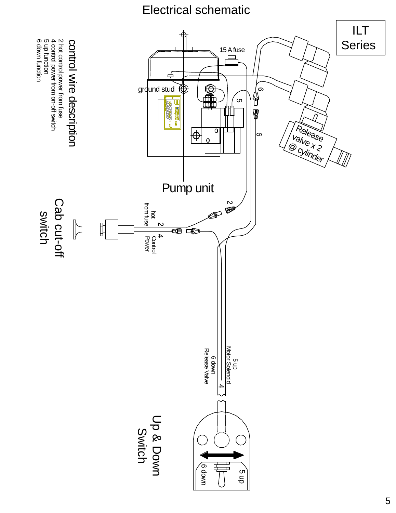### Electrical schematic